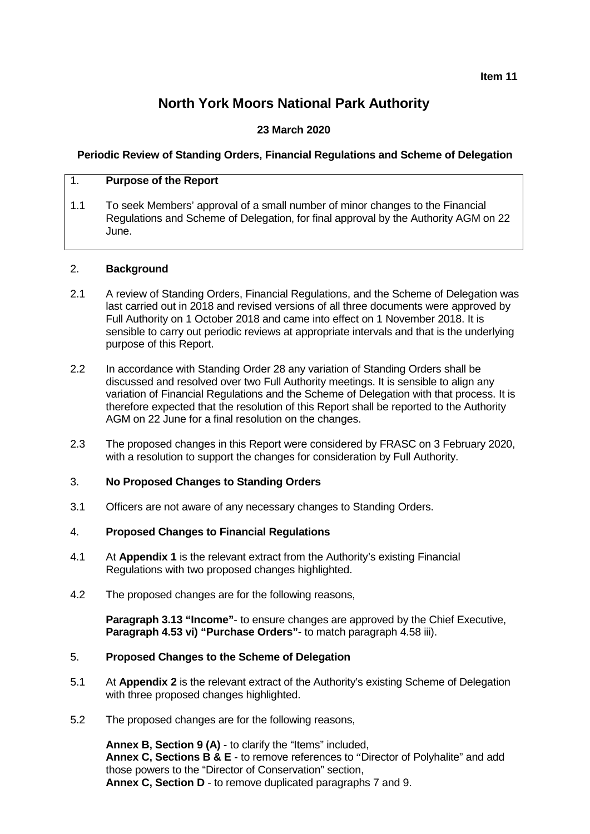**Item 11**

# **North York Moors National Park Authority**

# **23 March 2020**

## **Periodic Review of Standing Orders, Financial Regulations and Scheme of Delegation**

## 1. **Purpose of the Report**

1.1 To seek Members' approval of a small number of minor changes to the Financial Regulations and Scheme of Delegation, for final approval by the Authority AGM on 22 June.

#### 2. **Background**

- 2.1 A review of Standing Orders, Financial Regulations, and the Scheme of Delegation was last carried out in 2018 and revised versions of all three documents were approved by Full Authority on 1 October 2018 and came into effect on 1 November 2018. It is sensible to carry out periodic reviews at appropriate intervals and that is the underlying purpose of this Report.
- 2.2 In accordance with Standing Order 28 any variation of Standing Orders shall be discussed and resolved over two Full Authority meetings. It is sensible to align any variation of Financial Regulations and the Scheme of Delegation with that process. It is therefore expected that the resolution of this Report shall be reported to the Authority AGM on 22 June for a final resolution on the changes.
- 2.3 The proposed changes in this Report were considered by FRASC on 3 February 2020, with a resolution to support the changes for consideration by Full Authority.

### 3. **No Proposed Changes to Standing Orders**

3.1 Officers are not aware of any necessary changes to Standing Orders.

### 4. **Proposed Changes to Financial Regulations**

- 4.1 At **Appendix 1** is the relevant extract from the Authority's existing Financial Regulations with two proposed changes highlighted.
- 4.2 The proposed changes are for the following reasons,

**Paragraph 3.13 "Income"**- to ensure changes are approved by the Chief Executive, **Paragraph 4.53 vi) "Purchase Orders"**- to match paragraph 4.58 iii).

## 5. **Proposed Changes to the Scheme of Delegation**

- 5.1 At **Appendix 2** is the relevant extract of the Authority's existing Scheme of Delegation with three proposed changes highlighted.
- 5.2 The proposed changes are for the following reasons,

**Annex B, Section 9 (A)** - to clarify the "Items" included, **Annex C, Sections B & E** - to remove references to "Director of Polyhalite" and add those powers to the "Director of Conservation" section, **Annex C, Section D** - to remove duplicated paragraphs 7 and 9.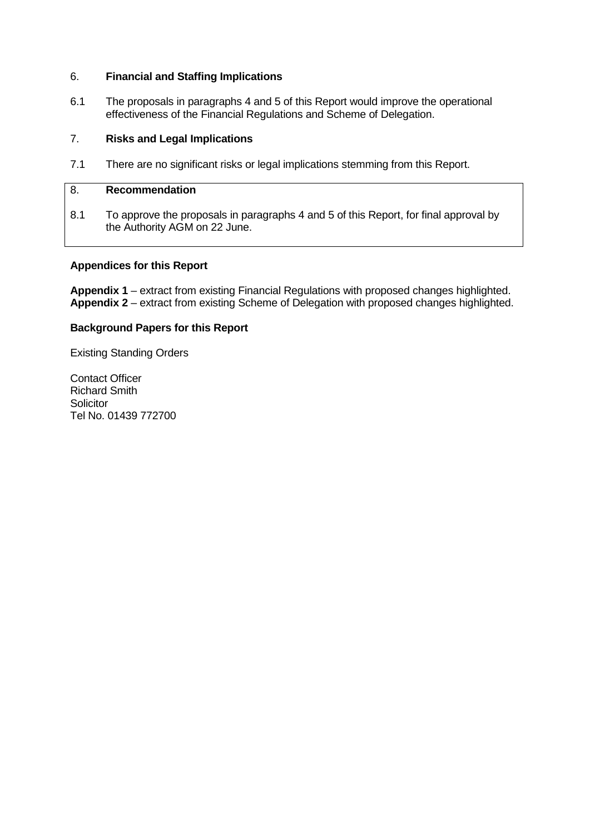#### 6. **Financial and Staffing Implications**

6.1 The proposals in paragraphs 4 and 5 of this Report would improve the operational effectiveness of the Financial Regulations and Scheme of Delegation.

# 7. **Risks and Legal Implications**

7.1 There are no significant risks or legal implications stemming from this Report.

## 8. **Recommendation**

8.1 To approve the proposals in paragraphs 4 and 5 of this Report, for final approval by the Authority AGM on 22 June.

#### **Appendices for this Report**

**Appendix 1** – extract from existing Financial Regulations with proposed changes highlighted. **Appendix 2** – extract from existing Scheme of Delegation with proposed changes highlighted.

#### **Background Papers for this Report**

Existing Standing Orders

Contact Officer Richard Smith **Solicitor** Tel No. 01439 772700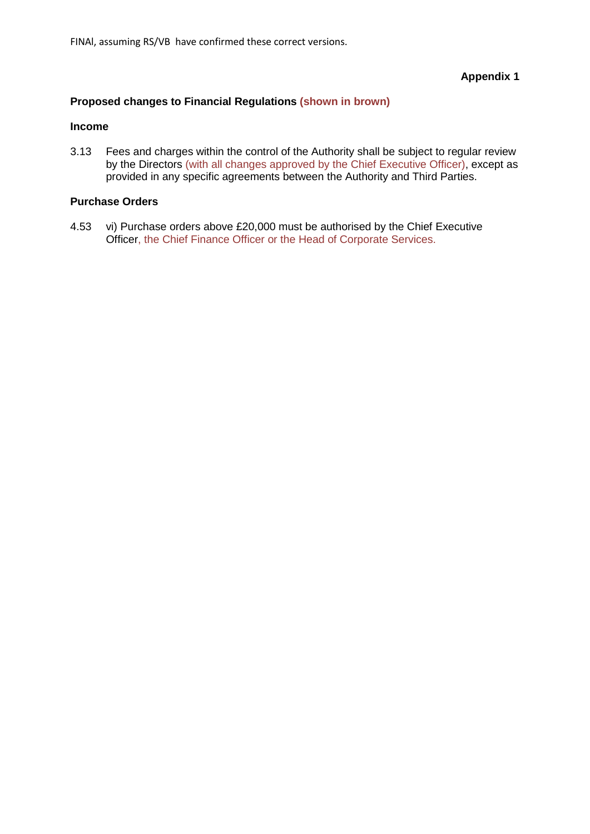FINAl, assuming RS/VB have confirmed these correct versions.

**Appendix 1**

## **Proposed changes to Financial Regulations (shown in brown)**

#### **Income**

3.13 Fees and charges within the control of the Authority shall be subject to regular review by the Directors (with all changes approved by the Chief Executive Officer), except as provided in any specific agreements between the Authority and Third Parties.

## **Purchase Orders**

4.53 vi) Purchase orders above £20,000 must be authorised by the Chief Executive Officer, the Chief Finance Officer or the Head of Corporate Services.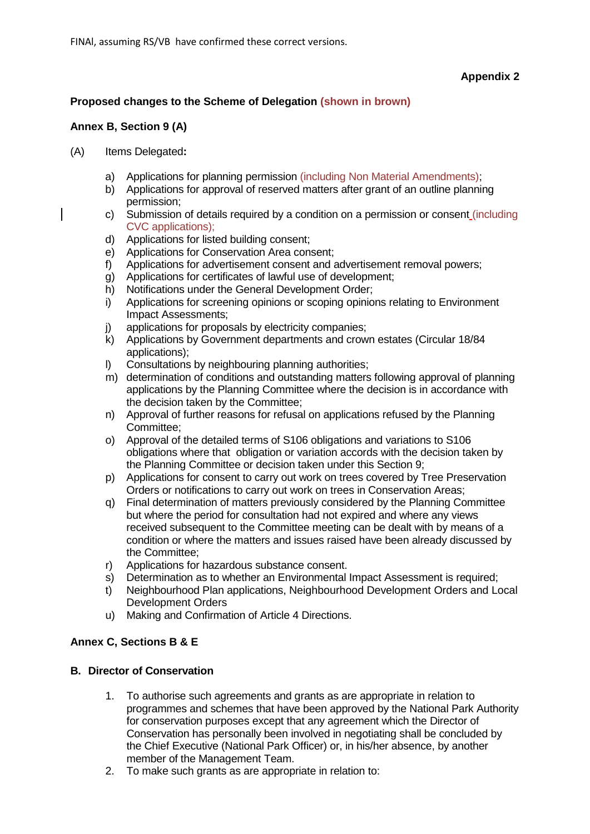## **Appendix 2**

## **Proposed changes to the Scheme of Delegation (shown in brown)**

## **Annex B, Section 9 (A)**

- (A) Items Delegated**:**
	- a) Applications for planning permission (including Non Material Amendments);
	- b) Applications for approval of reserved matters after grant of an outline planning permission;
	- c) Submission of details required by a condition on a permission or consent (including CVC applications);
	- d) Applications for listed building consent;
	- e) Applications for Conservation Area consent;
	- f) Applications for advertisement consent and advertisement removal powers;
	- g) Applications for certificates of lawful use of development;
	- h) Notifications under the General Development Order;
	- i) Applications for screening opinions or scoping opinions relating to Environment Impact Assessments;
	- j) applications for proposals by electricity companies;<br>
	k) Applications by Government departments and crow
	- k) Applications by Government departments and crown estates (Circular 18/84 applications);
	- l) Consultations by neighbouring planning authorities;
	- m) determination of conditions and outstanding matters following approval of planning applications by the Planning Committee where the decision is in accordance with the decision taken by the Committee;
	- n) Approval of further reasons for refusal on applications refused by the Planning Committee;
	- o) Approval of the detailed terms of S106 obligations and variations to S106 obligations where that obligation or variation accords with the decision taken by the Planning Committee or decision taken under this Section 9;
	- p) Applications for consent to carry out work on trees covered by Tree Preservation Orders or notifications to carry out work on trees in Conservation Areas;
	- q) Final determination of matters previously considered by the Planning Committee but where the period for consultation had not expired and where any views received subsequent to the Committee meeting can be dealt with by means of a condition or where the matters and issues raised have been already discussed by the Committee;
	- r) Applications for hazardous substance consent.
	- s) Determination as to whether an Environmental Impact Assessment is required;
	- t) Neighbourhood Plan applications, Neighbourhood Development Orders and Local Development Orders
	- u) Making and Confirmation of Article 4 Directions.

### **Annex C, Sections B & E**

### **B. Director of Conservation**

- 1. To authorise such agreements and grants as are appropriate in relation to programmes and schemes that have been approved by the National Park Authority for conservation purposes except that any agreement which the Director of Conservation has personally been involved in negotiating shall be concluded by the Chief Executive (National Park Officer) or, in his/her absence, by another member of the Management Team.
- 2. To make such grants as are appropriate in relation to: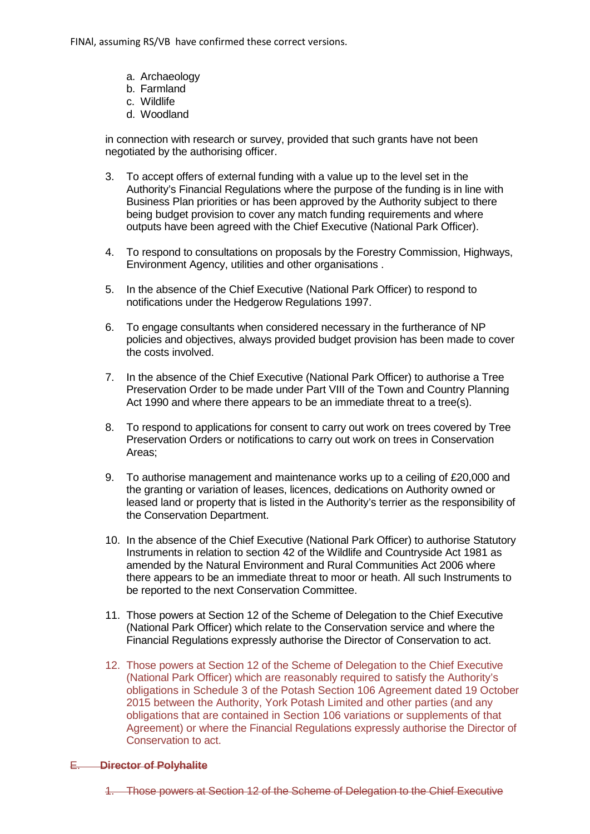FINAl, assuming RS/VB have confirmed these correct versions.

- a. Archaeology
- b. Farmland
- c. Wildlife
- d. Woodland

in connection with research or survey, provided that such grants have not been negotiated by the authorising officer.

- 3. To accept offers of external funding with a value up to the level set in the Authority's Financial Regulations where the purpose of the funding is in line with Business Plan priorities or has been approved by the Authority subject to there being budget provision to cover any match funding requirements and where outputs have been agreed with the Chief Executive (National Park Officer).
- 4. To respond to consultations on proposals by the Forestry Commission, Highways, Environment Agency, utilities and other organisations .
- 5. In the absence of the Chief Executive (National Park Officer) to respond to notifications under the Hedgerow Regulations 1997.
- 6. To engage consultants when considered necessary in the furtherance of NP policies and objectives, always provided budget provision has been made to cover the costs involved.
- 7. In the absence of the Chief Executive (National Park Officer) to authorise a Tree Preservation Order to be made under Part VIII of the Town and Country Planning Act 1990 and where there appears to be an immediate threat to a tree(s).
- 8. To respond to applications for consent to carry out work on trees covered by Tree Preservation Orders or notifications to carry out work on trees in Conservation Areas;
- 9. To authorise management and maintenance works up to a ceiling of £20,000 and the granting or variation of leases, licences, dedications on Authority owned or leased land or property that is listed in the Authority's terrier as the responsibility of the Conservation Department.
- 10. In the absence of the Chief Executive (National Park Officer) to authorise Statutory Instruments in relation to section 42 of the Wildlife and Countryside Act 1981 as amended by the Natural Environment and Rural Communities Act 2006 where there appears to be an immediate threat to moor or heath. All such Instruments to be reported to the next Conservation Committee.
- 11. Those powers at Section 12 of the Scheme of Delegation to the Chief Executive (National Park Officer) which relate to the Conservation service and where the Financial Regulations expressly authorise the Director of Conservation to act.
- 12. Those powers at Section 12 of the Scheme of Delegation to the Chief Executive (National Park Officer) which are reasonably required to satisfy the Authority's obligations in Schedule 3 of the Potash Section 106 Agreement dated 19 October 2015 between the Authority, York Potash Limited and other parties (and any obligations that are contained in Section 106 variations or supplements of that Agreement) or where the Financial Regulations expressly authorise the Director of Conservation to act.

#### E. **Director of Polyhalite**

1. Those powers at Section 12 of the Scheme of Delegation to the Chief Executive